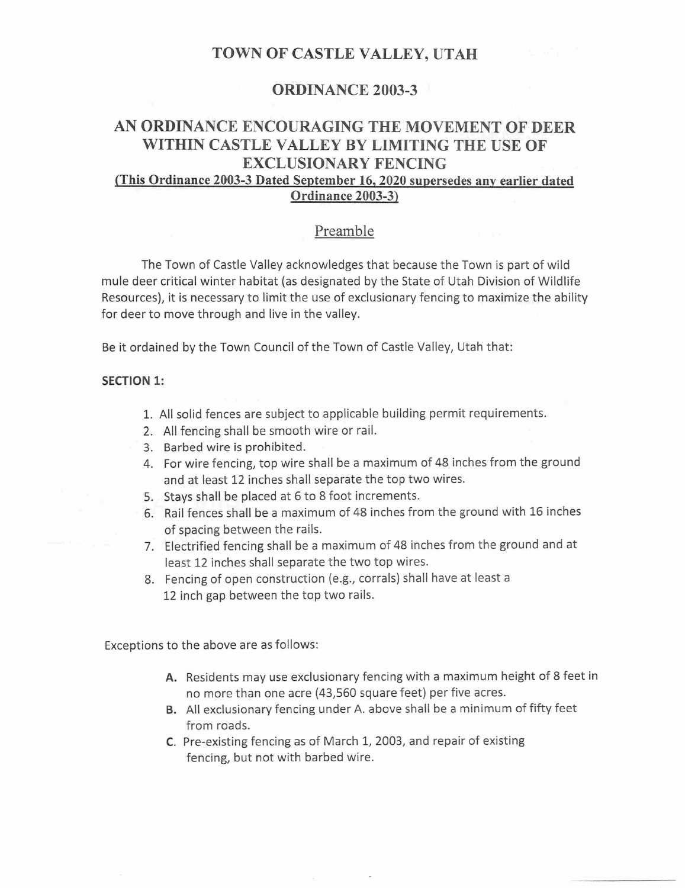## TOWN OF CASTLE VALLEY, UTAH

## ORDINANCE 2003-3

# AN ORDINANCE ENCOURAGING THE MOVEMENT OF DEER WITHIN CASTLE VALLEY BY LIMITING THE USE OF EXCLUSIONARY FENCING

# (This Ordinance 2003-3 Dated September 16,2020 supersedes any earlier dated Ordinance 2003-3)

## Preamble

The Town of Castle Valley acknowledges that because the Town is part of wild mule deer critical winter habitat (as designated by the State of Utah Division of Wildlife Resources), it is necessary to limit the use of exclusionary fencing to maximize the ability for deer to move through and live in the valley.

Be it ordained by the Town Council of the Town of Castle Valley, Utah that:

#### SECTION 1:

- 1. All solid fences are subject to applicable building permit requirements.
- 2. All fencing shall be smooth wire or rail.
- 3. Barbed wire is prohibited.
- 4. For wire fencing, top wire shall be a maximum of 48 inches from the ground and at least 12 inches shall separate the top two wires.
- 5. Stays shall be placed at 6 to 8 foot increments.
- 6. Rail fences shall be a maximum of 48 inches from the ground with 16 inches of spacing between the rails.
- 7. Electrified fencing shall be a maximum of 48 inches from the ground and at least 12 inches shall separate the two top wires.
- 8. Fencing of open construction (e.g., corrals) shall have at least a 12 inch gap between the top two rails.

Exceptions to the above are as follows:

- A. Residents may use exclusionary fencing with a maximum height of 8 feet in no more than one acre (43,560 square feet) per five acres.
- B. All exclusionary fencing under A. above shall be a minimum of fifty feet from roads.
- C. Pre-existing fencing as of March 1, 2003, and repair of existing fencing, but not with barbed wire.